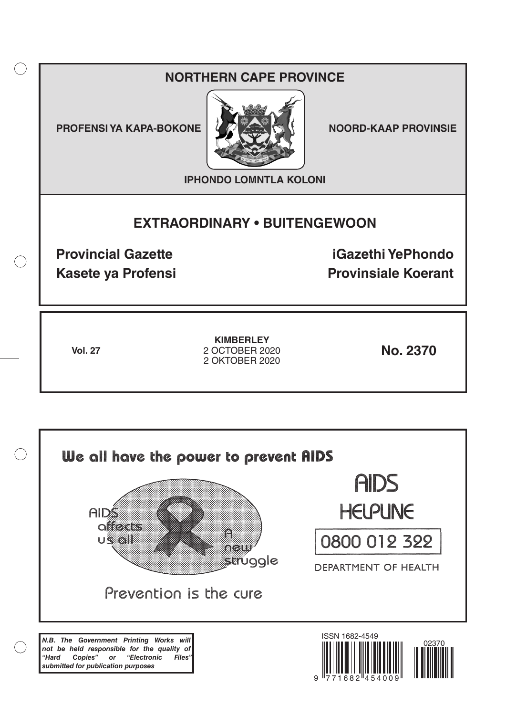# **NORTHERN CAPE PROVINCE**

**PROFENSI YA KAPA-BOKONE NOORD-KAAP PROVINSIE** 

 $($ )



**IPHONDO LOMNTLA KOLONI**

# **EXTRAORDINARY • BUITENGEWOON**

**Provincial Gazette iGazethi YePhondo Kasete ya Profensi Provinsiale Koerant** 

**Vol. 27 No. 2370** 2 OCTOBER 2020 **KIMBERLEY** 2 OKTOBER 2020

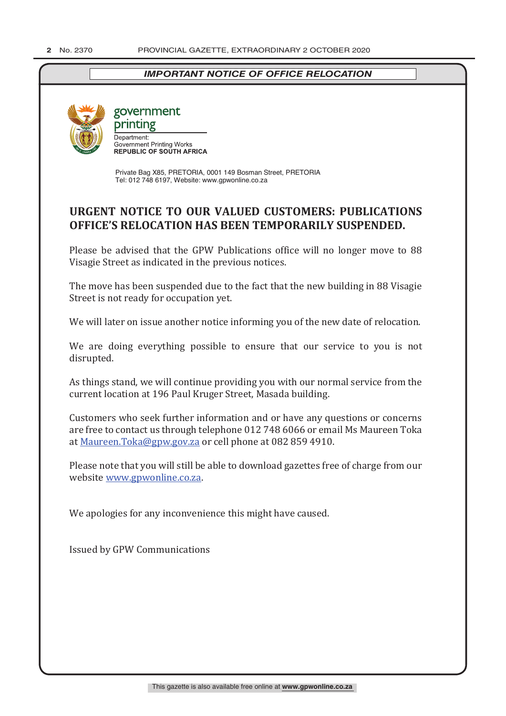## *IMPORTANT NOTICE OF OFFICE RELOCATION*



## government printing Department: Department.<br>Government Printing Works<br>REPUBLIC OF SOUTH AFRICA

Private Bag X85, PRETORIA, 0001 149 Bosman Street, PRETORIA Tel: 012 748 6197, Website: www.gpwonline.co.za

# **URGENT NOTICE TO OUR VALUED CUSTOMERS: PUBLICATIONS OFFICE'S RELOCATION HAS BEEN TEMPORARILY SUSPENDED.**

Please be advised that the GPW Publications office will no longer move to 88 Visagie Street as indicated in the previous notices.

The move has been suspended due to the fact that the new building in 88 Visagie Street is not ready for occupation yet.

We will later on issue another notice informing you of the new date of relocation.

We are doing everything possible to ensure that our service to you is not disrupted.

As things stand, we will continue providing you with our normal service from the current location at 196 Paul Kruger Street, Masada building.

Customers who seek further information and or have any questions or concerns are free to contact us through telephone 012 748 6066 or email Ms Maureen Toka at Maureen.Toka@gpw.gov.za or cell phone at 082 859 4910.

Please note that you will still be able to download gazettes free of charge from our website www.gpwonline.co.za.

We apologies for any inconvenience this might have caused.

Issued by GPW Communications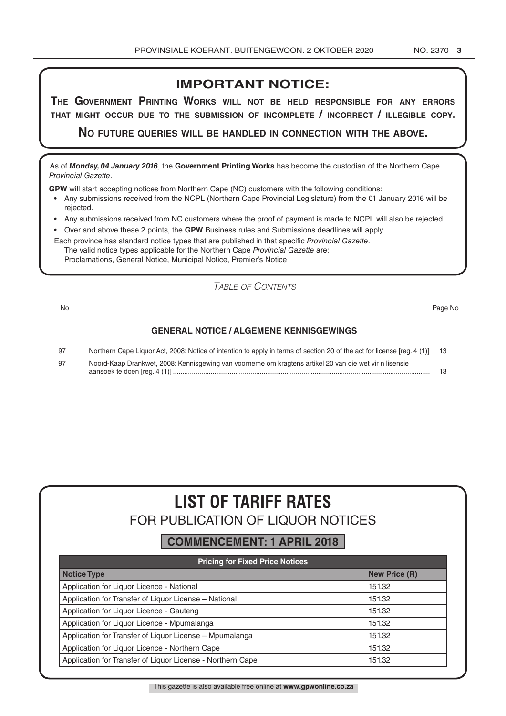# **IMPORTANT NOTICE:**

**The GovernmenT PrinTinG Works Will noT be held resPonsible for any errors ThaT miGhT occur due To The submission of incomPleTe / incorrecT / illeGible coPy.**

**no fuTure queries Will be handled in connecTion WiTh The above.**

As of *Monday, 04 January 2016*, the **Government Printing Works** has become the custodian of the Northern Cape *Provincial Gazette*.

**GPW** will start accepting notices from Northern Cape (NC) customers with the following conditions:

- Any submissions received from the NCPL (Northern Cape Provincial Legislature) from the 01 January 2016 will be rejected.
- Any submissions received from NC customers where the proof of payment is made to NCPL will also be rejected.
- Over and above these 2 points, the **GPW** Business rules and Submissions deadlines will apply.

Each province has standard notice types that are published in that specific *Provincial Gazette*. The valid notice types applicable for the Northern Cape *Provincial Gazette* are: Proclamations, General Notice, Municipal Notice, Premier's Notice

*Table of Contents*

No Page No

## **GENERAL NOTICE / ALGEMENE KENNISGEWINGS**

| 97 | Northern Cape Liquor Act, 2008: Notice of intention to apply in terms of section 20 of the act for license [reg. 4 (1)] 13 |  |
|----|----------------------------------------------------------------------------------------------------------------------------|--|
| 97 | Noord-Kaap Drankwet, 2008: Kennisgewing van voorneme om kragtens artikel 20 van die wet vir n lisensie                     |  |
|    |                                                                                                                            |  |

# **LIST OF TARIFF RATES** FOR PUBLICATION OF LIQUOR NOTICES

# **COMMENCEMENT: 1 APRIL 2018**

| <b>Pricing for Fixed Price Notices</b>                     |                      |  |  |  |
|------------------------------------------------------------|----------------------|--|--|--|
| <b>Notice Type</b>                                         | <b>New Price (R)</b> |  |  |  |
| Application for Liquor Licence - National                  | 151.32               |  |  |  |
| Application for Transfer of Liquor License - National      | 151.32               |  |  |  |
| Application for Liquor Licence - Gauteng                   | 151.32               |  |  |  |
| Application for Liguor Licence - Mpumalanga                | 151.32               |  |  |  |
| Application for Transfer of Liquor License - Mpumalanga    | 151.32               |  |  |  |
| Application for Liquor Licence - Northern Cape             | 151.32               |  |  |  |
| Application for Transfer of Liquor License - Northern Cape | 151.32               |  |  |  |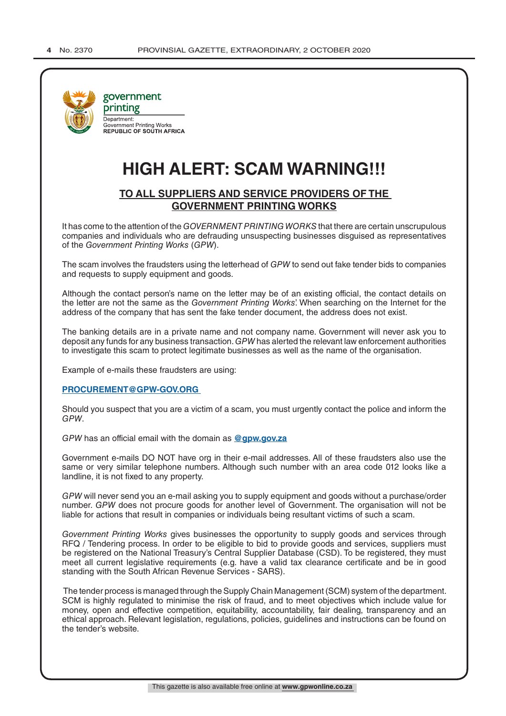

# **HIGH ALERT: SCAM WARNING!!!**

## **TO ALL SUPPLIERS AND SERVICE PROVIDERS OF THE GOVERNMENT PRINTING WORKS**

It has come to the attention of the *GOVERNMENT PRINTING WORKS* that there are certain unscrupulous companies and individuals who are defrauding unsuspecting businesses disguised as representatives of the *Government Printing Works* (*GPW*).

The scam involves the fraudsters using the letterhead of *GPW* to send out fake tender bids to companies and requests to supply equipment and goods.

Although the contact person's name on the letter may be of an existing official, the contact details on the letter are not the same as the *Government Printing Works*'. When searching on the Internet for the address of the company that has sent the fake tender document, the address does not exist.

The banking details are in a private name and not company name. Government will never ask you to deposit any funds for any business transaction. *GPW* has alerted the relevant law enforcement authorities to investigate this scam to protect legitimate businesses as well as the name of the organisation.

Example of e-mails these fraudsters are using:

#### **PROCUREMENT@GPW-GOV.ORG**

Should you suspect that you are a victim of a scam, you must urgently contact the police and inform the *GPW*.

*GPW* has an official email with the domain as **@gpw.gov.za**

Government e-mails DO NOT have org in their e-mail addresses. All of these fraudsters also use the same or very similar telephone numbers. Although such number with an area code 012 looks like a landline, it is not fixed to any property.

*GPW* will never send you an e-mail asking you to supply equipment and goods without a purchase/order number. *GPW* does not procure goods for another level of Government. The organisation will not be liable for actions that result in companies or individuals being resultant victims of such a scam.

*Government Printing Works* gives businesses the opportunity to supply goods and services through RFQ / Tendering process. In order to be eligible to bid to provide goods and services, suppliers must be registered on the National Treasury's Central Supplier Database (CSD). To be registered, they must meet all current legislative requirements (e.g. have a valid tax clearance certificate and be in good standing with the South African Revenue Services - SARS).

 The tender process is managed through the Supply Chain Management (SCM) system of the department. SCM is highly regulated to minimise the risk of fraud, and to meet objectives which include value for money, open and effective competition, equitability, accountability, fair dealing, transparency and an ethical approach. Relevant legislation, regulations, policies, guidelines and instructions can be found on the tender's website.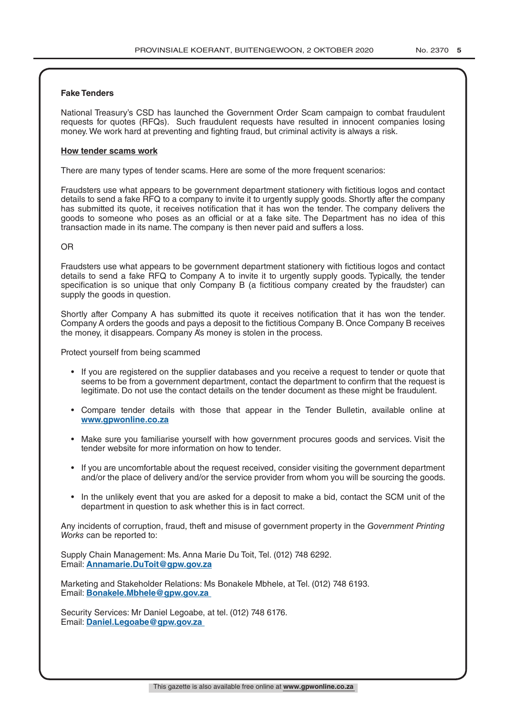#### **Fake Tenders**

National Treasury's CSD has launched the Government Order Scam campaign to combat fraudulent requests for quotes (RFQs). Such fraudulent requests have resulted in innocent companies losing money. We work hard at preventing and fighting fraud, but criminal activity is always a risk.

#### **How tender scams work**

There are many types of tender scams. Here are some of the more frequent scenarios:

Fraudsters use what appears to be government department stationery with fictitious logos and contact details to send a fake RFQ to a company to invite it to urgently supply goods. Shortly after the company has submitted its quote, it receives notification that it has won the tender. The company delivers the goods to someone who poses as an official or at a fake site. The Department has no idea of this transaction made in its name. The company is then never paid and suffers a loss.

#### OR

Fraudsters use what appears to be government department stationery with fictitious logos and contact details to send a fake RFQ to Company A to invite it to urgently supply goods. Typically, the tender specification is so unique that only Company B (a fictitious company created by the fraudster) can supply the goods in question.

Shortly after Company A has submitted its quote it receives notification that it has won the tender. Company A orders the goods and pays a deposit to the fictitious Company B. Once Company B receives the money, it disappears. Company A's money is stolen in the process.

Protect yourself from being scammed

- If you are registered on the supplier databases and you receive a request to tender or quote that seems to be from a government department, contact the department to confirm that the request is legitimate. Do not use the contact details on the tender document as these might be fraudulent.
- Compare tender details with those that appear in the Tender Bulletin, available online at **www.gpwonline.co.za**
- Make sure you familiarise yourself with how government procures goods and services. Visit the tender website for more information on how to tender.
- If you are uncomfortable about the request received, consider visiting the government department and/or the place of delivery and/or the service provider from whom you will be sourcing the goods.
- In the unlikely event that you are asked for a deposit to make a bid, contact the SCM unit of the department in question to ask whether this is in fact correct.

Any incidents of corruption, fraud, theft and misuse of government property in the *Government Printing Works* can be reported to:

Supply Chain Management: Ms. Anna Marie Du Toit, Tel. (012) 748 6292. Email: **Annamarie.DuToit@gpw.gov.za**

Marketing and Stakeholder Relations: Ms Bonakele Mbhele, at Tel. (012) 748 6193. Email: **Bonakele.Mbhele@gpw.gov.za** 

Security Services: Mr Daniel Legoabe, at tel. (012) 748 6176. Email: **Daniel.Legoabe@gpw.gov.za**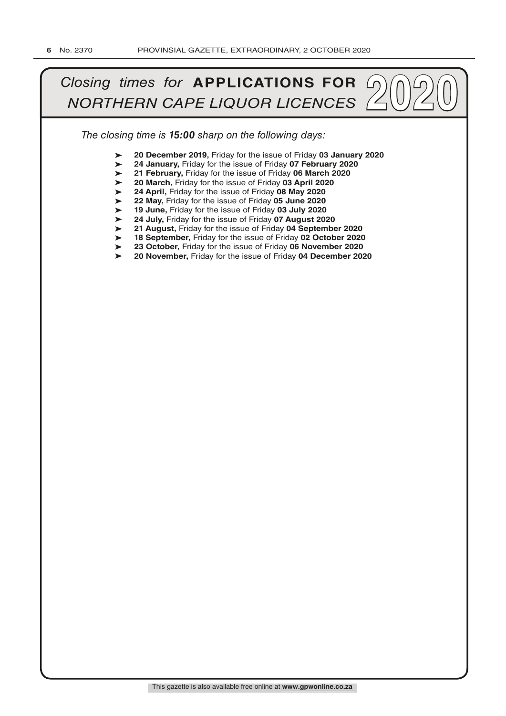# *Closing times for APPLICATIONS FOR*  $\bigcirc$   $\bigcirc$   $\bigcirc$   $\bigcirc$   $\bigcirc$   $\bigcirc$   $\bigcirc$   $\bigcirc$   $\bigcirc$   $\bigcirc$   $\bigcirc$   $\bigcirc$   $\bigcirc$   $\bigcirc$   $\bigcirc$   $\bigcirc$   $\bigcirc$   $\bigcirc$   $\bigcirc$   $\bigcirc$   $\bigcirc$   $\bigcirc$   $\bigcirc$   $\bigcirc$   $\bigcirc$   $\bigcirc$   $\bigcirc$   $\bigcirc$   $\bigcirc$   $\bigcirc$   $\bigcirc$

*The closing time is 15:00 sharp on the following days:*

- ➤ **20 December 2019,** Friday for the issue of Friday **03 January 2020**
- ➤ **24 January,** Friday for the issue of Friday **07 February 2020**
- ➤ **21 February,** Friday for the issue of Friday **06 March 2020**
- ➤ **20 March,** Friday for the issue of Friday **03 April 2020**
- ➤ **24 April,** Friday for the issue of Friday **08 May 2020**
- ➤ **22 May,** Friday for the issue of Friday **05 June 2020**
- ➤ **19 June,** Friday for the issue of Friday **03 July 2020**
- ➤ **24 July,** Friday for the issue of Friday **07 August 2020**
- ➤ **21 August,** Friday for the issue of Friday **04 September 2020**
- ➤ **18 September,** Friday for the issue of Friday **02 October 2020**
- ➤  $\blacktriangleright$ **23 October,** Friday for the issue of Friday **06 November 2020**
- **20 November,** Friday for the issue of Friday **04 December 2020**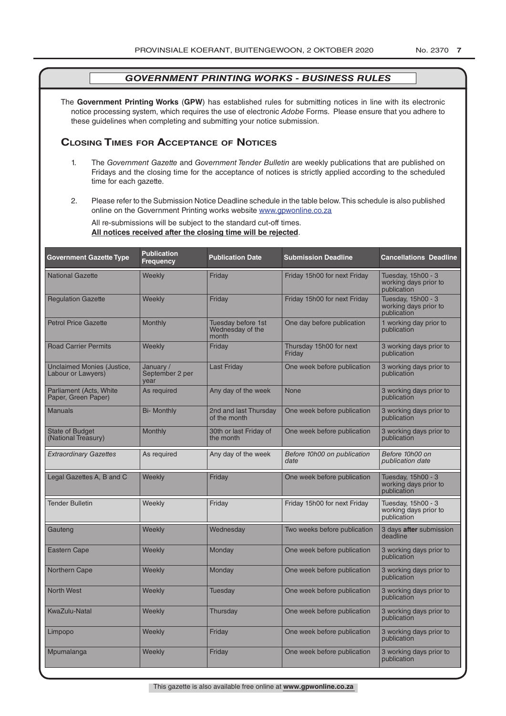The **Government Printing Works** (**GPW**) has established rules for submitting notices in line with its electronic notice processing system, which requires the use of electronic *Adobe* Forms. Please ensure that you adhere to these guidelines when completing and submitting your notice submission.

## **Closing Times for ACCepTAnCe of noTiCes**

- 1. The *Government Gazette* and *Government Tender Bulletin* are weekly publications that are published on Fridays and the closing time for the acceptance of notices is strictly applied according to the scheduled time for each gazette.
- 2. Please refer to the Submission Notice Deadline schedule in the table below. This schedule is also published online on the Government Printing works website www.gpwonline.co.za

All re-submissions will be subject to the standard cut-off times. **All notices received after the closing time will be rejected**.

| <b>Government Gazette Type</b>                   | <b>Publication</b><br><b>Frequency</b> | <b>Publication Date</b>                         | <b>Submission Deadline</b>          | <b>Cancellations Deadline</b>                              |
|--------------------------------------------------|----------------------------------------|-------------------------------------------------|-------------------------------------|------------------------------------------------------------|
| <b>National Gazette</b>                          | Weekly                                 | Friday                                          | Friday 15h00 for next Friday        | Tuesday, 15h00 - 3<br>working days prior to<br>publication |
| <b>Regulation Gazette</b>                        | Weekly                                 | Friday                                          | Friday 15h00 for next Friday        | Tuesday, 15h00 - 3<br>working days prior to<br>publication |
| <b>Petrol Price Gazette</b>                      | Monthly                                | Tuesday before 1st<br>Wednesday of the<br>month | One day before publication          | 1 working day prior to<br>publication                      |
| <b>Road Carrier Permits</b>                      | Weekly                                 | Friday                                          | Thursday 15h00 for next<br>Friday   | 3 working days prior to<br>publication                     |
| Unclaimed Monies (Justice,<br>Labour or Lawyers) | January /<br>September 2 per<br>vear   | <b>Last Friday</b>                              | One week before publication         | 3 working days prior to<br>publication                     |
| Parliament (Acts, White<br>Paper, Green Paper)   | As required                            | Any day of the week                             | None                                | 3 working days prior to<br>publication                     |
| <b>Manuals</b>                                   | <b>Bi- Monthly</b>                     | 2nd and last Thursday<br>of the month           | One week before publication         | 3 working days prior to<br>publication                     |
| <b>State of Budget</b><br>(National Treasury)    | Monthly                                | 30th or last Friday of<br>the month             | One week before publication         | 3 working days prior to<br>publication                     |
| <b>Extraordinary Gazettes</b>                    | As required                            | Any day of the week                             | Before 10h00 on publication<br>date | Before 10h00 on<br>publication date                        |
| Legal Gazettes A, B and C                        | Weekly                                 | Friday                                          | One week before publication         | Tuesday, 15h00 - 3<br>working days prior to<br>publication |
| <b>Tender Bulletin</b>                           | Weekly                                 | Friday                                          | Friday 15h00 for next Friday        | Tuesday, 15h00 - 3<br>working days prior to<br>publication |
| Gauteng                                          | Weekly                                 | Wednesday                                       | Two weeks before publication        | 3 days after submission<br>deadline                        |
| Eastern Cape                                     | Weekly                                 | Monday                                          | One week before publication         | 3 working days prior to<br>publication                     |
| <b>Northern Cape</b>                             | Weekly                                 | Monday                                          | One week before publication         | 3 working days prior to<br>publication                     |
| <b>North West</b>                                | Weekly                                 | Tuesday                                         | One week before publication         | 3 working days prior to<br>publication                     |
| <b>KwaZulu-Natal</b>                             | Weekly                                 | Thursday                                        | One week before publication         | 3 working days prior to<br>publication                     |
| Limpopo                                          | Weekly                                 | Friday                                          | One week before publication         | 3 working days prior to<br>publication                     |
| Mpumalanga                                       | Weekly                                 | Friday                                          | One week before publication         | 3 working days prior to<br>publication                     |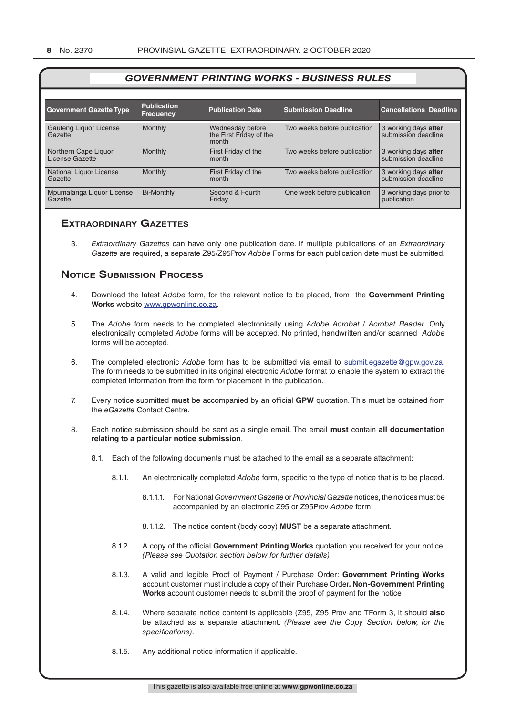| <b>Government Gazette Type</b>          | <b>Publication</b><br><b>Frequency</b> | <b>Publication Date</b>          | <b>Submission Deadline</b>   | <b>Cancellations Deadline</b>               |
|-----------------------------------------|----------------------------------------|----------------------------------|------------------------------|---------------------------------------------|
| Gauteng Liquor License                  | <b>Monthly</b>                         | Wednesday before                 | Two weeks before publication | 3 working days after                        |
| Gazette                                 |                                        | the First Friday of the<br>month |                              | submission deadline                         |
| Northern Cape Liquor<br>License Gazette | <b>Monthly</b>                         | First Friday of the<br>month     | Two weeks before publication | 3 working days after<br>submission deadline |
| National Liquor License<br>Gazette      | <b>Monthly</b>                         | First Friday of the<br>month     | Two weeks before publication | 3 working days after<br>submission deadline |
| Mpumalanga Liquor License<br>Gazette    | <b>Bi-Monthly</b>                      | Second & Fourth<br>Friday        | One week before publication  | 3 working days prior to<br>publication      |

## **exTrAordinAry gAzeTTes**

3. *Extraordinary Gazettes* can have only one publication date. If multiple publications of an *Extraordinary Gazette* are required, a separate Z95/Z95Prov *Adobe* Forms for each publication date must be submitted.

## **NOTICE SUBMISSION PROCESS**

- 4. Download the latest *Adobe* form, for the relevant notice to be placed, from the **Government Printing Works** website www.gpwonline.co.za.
- 5. The *Adobe* form needs to be completed electronically using *Adobe Acrobat* / *Acrobat Reader*. Only electronically completed *Adobe* forms will be accepted. No printed, handwritten and/or scanned *Adobe* forms will be accepted.
- 6. The completed electronic *Adobe* form has to be submitted via email to submit.egazette@gpw.gov.za. The form needs to be submitted in its original electronic *Adobe* format to enable the system to extract the completed information from the form for placement in the publication.
- 7. Every notice submitted **must** be accompanied by an official **GPW** quotation. This must be obtained from the *eGazette* Contact Centre.
- 8. Each notice submission should be sent as a single email. The email **must** contain **all documentation relating to a particular notice submission**.
	- 8.1. Each of the following documents must be attached to the email as a separate attachment:
		- 8.1.1. An electronically completed *Adobe* form, specific to the type of notice that is to be placed.
			- 8.1.1.1. For National *Government Gazette* or *Provincial Gazette* notices, the notices must be accompanied by an electronic Z95 or Z95Prov *Adobe* form
			- 8.1.1.2. The notice content (body copy) **MUST** be a separate attachment.
		- 8.1.2. A copy of the official **Government Printing Works** quotation you received for your notice. *(Please see Quotation section below for further details)*
		- 8.1.3. A valid and legible Proof of Payment / Purchase Order: **Government Printing Works** account customer must include a copy of their Purchase Order*.* **Non**-**Government Printing Works** account customer needs to submit the proof of payment for the notice
		- 8.1.4. Where separate notice content is applicable (Z95, Z95 Prov and TForm 3, it should **also** be attached as a separate attachment. *(Please see the Copy Section below, for the specifications)*.
		- 8.1.5. Any additional notice information if applicable.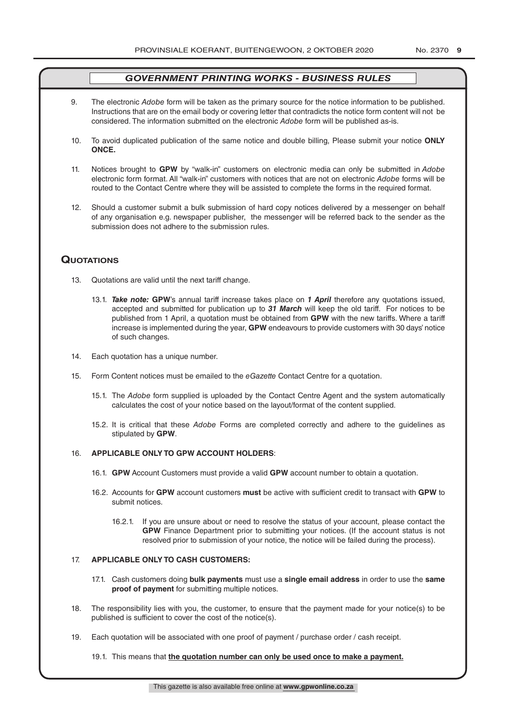- 9. The electronic *Adobe* form will be taken as the primary source for the notice information to be published. Instructions that are on the email body or covering letter that contradicts the notice form content will not be considered. The information submitted on the electronic *Adobe* form will be published as-is.
- 10. To avoid duplicated publication of the same notice and double billing, Please submit your notice **ONLY ONCE.**
- 11. Notices brought to **GPW** by "walk-in" customers on electronic media can only be submitted in *Adobe* electronic form format. All "walk-in" customers with notices that are not on electronic *Adobe* forms will be routed to the Contact Centre where they will be assisted to complete the forms in the required format.
- 12. Should a customer submit a bulk submission of hard copy notices delivered by a messenger on behalf of any organisation e.g. newspaper publisher, the messenger will be referred back to the sender as the submission does not adhere to the submission rules.

## **QuoTATions**

- 13. Quotations are valid until the next tariff change.
	- 13.1. *Take note:* **GPW**'s annual tariff increase takes place on *1 April* therefore any quotations issued, accepted and submitted for publication up to *31 March* will keep the old tariff. For notices to be published from 1 April, a quotation must be obtained from **GPW** with the new tariffs. Where a tariff increase is implemented during the year, **GPW** endeavours to provide customers with 30 days' notice of such changes.
- 14. Each quotation has a unique number.
- 15. Form Content notices must be emailed to the *eGazette* Contact Centre for a quotation.
	- 15.1. The *Adobe* form supplied is uploaded by the Contact Centre Agent and the system automatically calculates the cost of your notice based on the layout/format of the content supplied.
	- 15.2. It is critical that these *Adobe* Forms are completed correctly and adhere to the guidelines as stipulated by **GPW**.

#### 16. **APPLICABLE ONLY TO GPW ACCOUNT HOLDERS**:

- 16.1. **GPW** Account Customers must provide a valid **GPW** account number to obtain a quotation.
- 16.2. Accounts for **GPW** account customers **must** be active with sufficient credit to transact with **GPW** to submit notices.
	- 16.2.1. If you are unsure about or need to resolve the status of your account, please contact the **GPW** Finance Department prior to submitting your notices. (If the account status is not resolved prior to submission of your notice, the notice will be failed during the process).

#### 17. **APPLICABLE ONLY TO CASH CUSTOMERS:**

- 17.1. Cash customers doing **bulk payments** must use a **single email address** in order to use the **same proof of payment** for submitting multiple notices.
- 18. The responsibility lies with you, the customer, to ensure that the payment made for your notice(s) to be published is sufficient to cover the cost of the notice(s).
- 19. Each quotation will be associated with one proof of payment / purchase order / cash receipt.

#### 19.1. This means that **the quotation number can only be used once to make a payment.**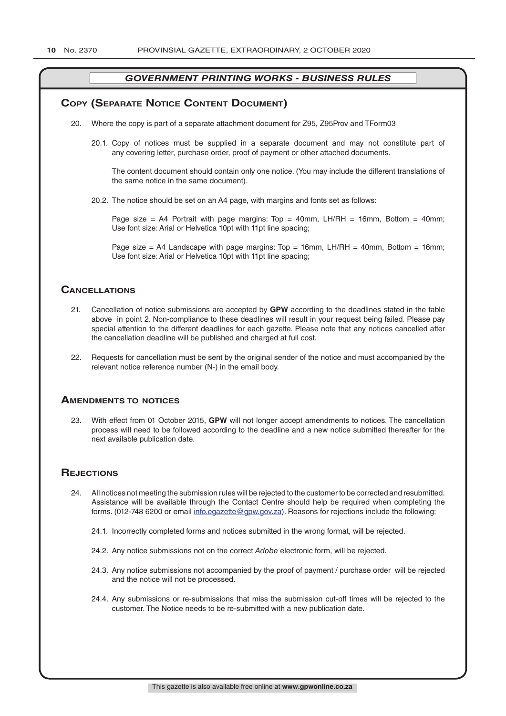#### **COPY (SEPARATE NOTICE CONTENT DOCUMENT)**

- 20. Where the copy is part of a separate attachment document for Z95, Z95Prov and TForm03
	- 20.1. Copy of notices must be supplied in a separate document and may not constitute part of any covering letter, purchase order, proof of payment or other attached documents.

The content document should contain only one notice. (You may include the different translations of the same notice in the same document).

20.2. The notice should be set on an A4 page, with margins and fonts set as follows:

Page size = A4 Portrait with page margins: Top = 40mm, LH/RH = 16mm, Bottom = 40mm; Use font size: Arial or Helvetica 10pt with 11pt line spacing;

Page size = A4 Landscape with page margins:  $Top = 16mm$ , LH/RH = 40mm, Bottom = 16mm; Use font size: Arial or Helvetica 10pt with 11pt line spacing;

#### **CAnCellATions**

- 21. Cancellation of notice submissions are accepted by **GPW** according to the deadlines stated in the table above in point 2. Non-compliance to these deadlines will result in your request being failed. Please pay special attention to the different deadlines for each gazette. Please note that any notices cancelled after the cancellation deadline will be published and charged at full cost.
- 22. Requests for cancellation must be sent by the original sender of the notice and must accompanied by the relevant notice reference number (N-) in the email body.

#### **AmendmenTs To noTiCes**

23. With effect from 01 October 2015, **GPW** will not longer accept amendments to notices. The cancellation process will need to be followed according to the deadline and a new notice submitted thereafter for the next available publication date.

#### **REJECTIONS**

- 24. All notices not meeting the submission rules will be rejected to the customer to be corrected and resubmitted. Assistance will be available through the Contact Centre should help be required when completing the forms. (012-748 6200 or email info.egazette@gpw.gov.za). Reasons for rejections include the following:
	- 24.1. Incorrectly completed forms and notices submitted in the wrong format, will be rejected.
	- 24.2. Any notice submissions not on the correct *Adobe* electronic form, will be rejected.
	- 24.3. Any notice submissions not accompanied by the proof of payment / purchase order will be rejected and the notice will not be processed.
	- 24.4. Any submissions or re-submissions that miss the submission cut-off times will be rejected to the customer. The Notice needs to be re-submitted with a new publication date.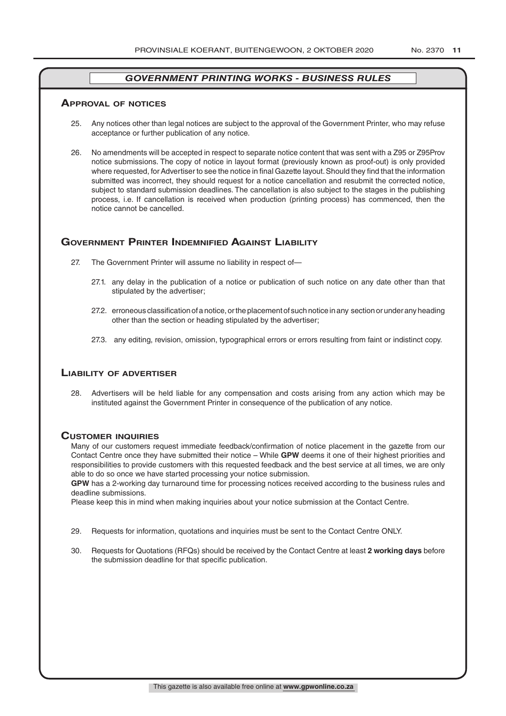#### **ApprovAl of noTiCes**

- 25. Any notices other than legal notices are subject to the approval of the Government Printer, who may refuse acceptance or further publication of any notice.
- 26. No amendments will be accepted in respect to separate notice content that was sent with a Z95 or Z95Prov notice submissions. The copy of notice in layout format (previously known as proof-out) is only provided where requested, for Advertiser to see the notice in final Gazette layout. Should they find that the information submitted was incorrect, they should request for a notice cancellation and resubmit the corrected notice, subject to standard submission deadlines. The cancellation is also subject to the stages in the publishing process, i.e. If cancellation is received when production (printing process) has commenced, then the notice cannot be cancelled.

## **governmenT prinTer indemnified AgAinsT liAbiliTy**

- 27. The Government Printer will assume no liability in respect of—
	- 27.1. any delay in the publication of a notice or publication of such notice on any date other than that stipulated by the advertiser;
	- 27.2. erroneous classification of a notice, or the placement of such notice in any section or under any heading other than the section or heading stipulated by the advertiser;
	- 27.3. any editing, revision, omission, typographical errors or errors resulting from faint or indistinct copy.

#### **liAbiliTy of AdverTiser**

28. Advertisers will be held liable for any compensation and costs arising from any action which may be instituted against the Government Printer in consequence of the publication of any notice.

#### **CusTomer inQuiries**

Many of our customers request immediate feedback/confirmation of notice placement in the gazette from our Contact Centre once they have submitted their notice – While **GPW** deems it one of their highest priorities and responsibilities to provide customers with this requested feedback and the best service at all times, we are only able to do so once we have started processing your notice submission.

**GPW** has a 2-working day turnaround time for processing notices received according to the business rules and deadline submissions.

Please keep this in mind when making inquiries about your notice submission at the Contact Centre.

- 29. Requests for information, quotations and inquiries must be sent to the Contact Centre ONLY.
- 30. Requests for Quotations (RFQs) should be received by the Contact Centre at least **2 working days** before the submission deadline for that specific publication.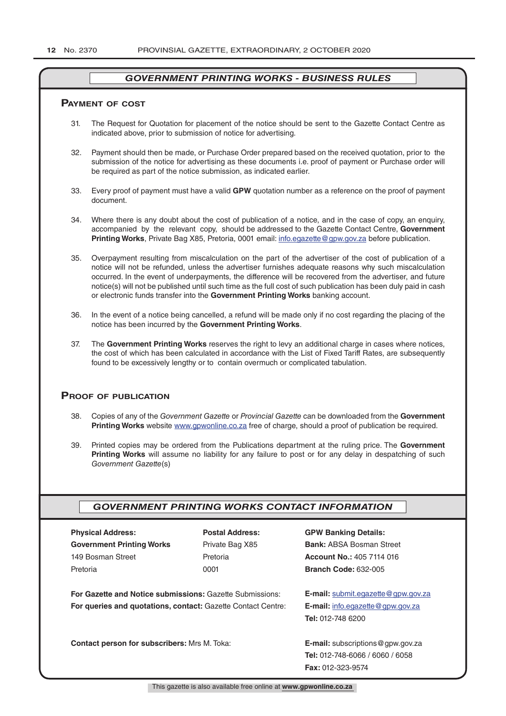#### **pAymenT of CosT**

- 31. The Request for Quotation for placement of the notice should be sent to the Gazette Contact Centre as indicated above, prior to submission of notice for advertising.
- 32. Payment should then be made, or Purchase Order prepared based on the received quotation, prior to the submission of the notice for advertising as these documents i.e. proof of payment or Purchase order will be required as part of the notice submission, as indicated earlier.
- 33. Every proof of payment must have a valid **GPW** quotation number as a reference on the proof of payment document.
- 34. Where there is any doubt about the cost of publication of a notice, and in the case of copy, an enquiry, accompanied by the relevant copy, should be addressed to the Gazette Contact Centre, **Government Printing Works**, Private Bag X85, Pretoria, 0001 email: info.egazette@gpw.gov.za before publication.
- 35. Overpayment resulting from miscalculation on the part of the advertiser of the cost of publication of a notice will not be refunded, unless the advertiser furnishes adequate reasons why such miscalculation occurred. In the event of underpayments, the difference will be recovered from the advertiser, and future notice(s) will not be published until such time as the full cost of such publication has been duly paid in cash or electronic funds transfer into the **Government Printing Works** banking account.
- 36. In the event of a notice being cancelled, a refund will be made only if no cost regarding the placing of the notice has been incurred by the **Government Printing Works**.
- 37. The **Government Printing Works** reserves the right to levy an additional charge in cases where notices, the cost of which has been calculated in accordance with the List of Fixed Tariff Rates, are subsequently found to be excessively lengthy or to contain overmuch or complicated tabulation.

#### **proof of publiCATion**

- 38. Copies of any of the *Government Gazette* or *Provincial Gazette* can be downloaded from the **Government Printing Works** website www.gpwonline.co.za free of charge, should a proof of publication be required.
- 39. Printed copies may be ordered from the Publications department at the ruling price. The **Government Printing Works** will assume no liability for any failure to post or for any delay in despatching of such *Government Gazette*(s)

#### *GOVERNMENT PRINTING WORKS CONTACT INFORMATION*

| <b>Physical Address:</b>                                            | <b>Postal Address:</b>                   | <b>GPW Banking Details:</b>             |
|---------------------------------------------------------------------|------------------------------------------|-----------------------------------------|
| <b>Government Printing Works</b>                                    | Private Bag X85                          | <b>Bank: ABSA Bosman Street</b>         |
| 149 Bosman Street                                                   | Pretoria                                 | <b>Account No.: 405 7114 016</b>        |
| Pretoria                                                            | 0001                                     | <b>Branch Code: 632-005</b>             |
|                                                                     |                                          |                                         |
| For Gazette and Notice submissions: Gazette Submissions:            | E-mail: submit.egazette@gpw.gov.za       |                                         |
| <b>For queries and quotations, contact: Gazette Contact Centre:</b> |                                          | <b>E-mail:</b> info.egazette@gpw.gov.za |
|                                                                     |                                          | <b>Tel: 012-748 6200</b>                |
|                                                                     |                                          |                                         |
| <b>Contact person for subscribers: Mrs M. Toka:</b>                 | <b>E-mail:</b> subscriptions @gpw.gov.za |                                         |
|                                                                     |                                          | Tel: 012-748-6066 / 6060 / 6058         |
|                                                                     |                                          | <b>Fax: 012-323-9574</b>                |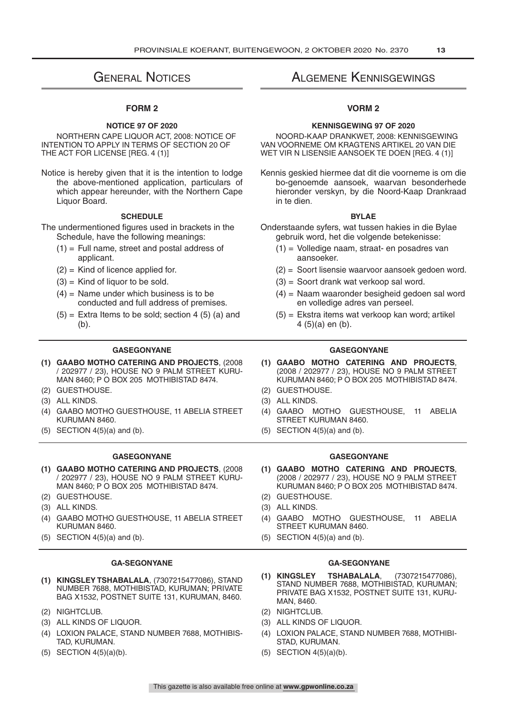# General Notices

#### **FORM 2**

#### **NOTICE 97 OF 2020**

NORTHERN CAPE LIQUOR ACT, 2008: NOTICE OF INTENTION TO APPLY IN TERMS OF SECTION 20 OF THE ACT FOR LICENSE [REG. 4 (1)]

Notice is hereby given that it is the intention to lodge the above-mentioned application, particulars of which appear hereunder, with the Northern Cape Liquor Board.

#### **SCHEDULE**

The undermentioned figures used in brackets in the Schedule, have the following meanings:

- $(1)$  = Full name, street and postal address of applicant.
- $(2)$  = Kind of licence applied for.
- $(3)$  = Kind of liquor to be sold.
- $(4)$  = Name under which business is to be conducted and full address of premises.
- $(5)$  = Extra Items to be sold; section 4 (5) (a) and (b).

- **(1) GAABO MOTHO CATERING AND PROJECTS**, (2008 / 202977 / 23), HOUSE NO 9 PALM STREET KURU-MAN 8460; P O BOX 205 MOTHIBISTAD 8474.
- (2) GUESTHOUSE. (2) GUESTHOUSE.
- (3) ALL KINDS. (3) ALL KINDS.
- (4) GAABO MOTHO GUESTHOUSE, 11 ABELIA STREET KURUMAN 8460.
- 

- **(1) GAABO MOTHO CATERING AND PROJECTS**, (2008 / 202977 / 23), HOUSE NO 9 PALM STREET KURU-MAN 8460; P O BOX 205 MOTHIBISTAD 8474.
- 
- 
- (4) GAABO MOTHO GUESTHOUSE, 11 ABELIA STREET KURUMAN 8460.
- 

- **(1) KINGSLEY TSHABALALA**, (7307215477086), STAND NUMBER 7688, MOTHIBISTAD, KURUMAN; PRIVATE BAG X1532, POSTNET SUITE 131, KURUMAN, 8460.
- (2) NIGHTCLUB. (2) NIGHTCLUB.
- 
- (4) LOXION PALACE, STAND NUMBER 7688, MOTHIBIS-TAD, KURUMAN.
- 

# Algemene Kennisgewings

#### **VORM 2**

#### **KENNISGEWING 97 OF 2020**

NOORD-KAAP DRANKWET, 2008: KENNISGEWING VAN VOORNEME OM KRAGTENS ARTIKEL 20 VAN DIE WET VIR N LISENSIE AANSOEK TE DOEN [REG. 4 (1)]

Kennis geskied hiermee dat dit die voorneme is om die bo-genoemde aansoek, waarvan besonderhede hieronder verskyn, by die Noord-Kaap Drankraad in te dien.

#### **BYLAE**

- Onderstaande syfers, wat tussen hakies in die Bylae gebruik word, het die volgende betekenisse:
	- (1) = Volledige naam, straat- en posadres van aansoeker.
	- (2) = Soort lisensie waarvoor aansoek gedoen word.
	- (3) = Soort drank wat verkoop sal word.
	- (4) = Naam waaronder besigheid gedoen sal word en volledige adres van perseel.
	- (5) = Ekstra items wat verkoop kan word; artikel 4 (5)(a) en (b).

#### **GASEGONYANE GASEGONYANE**

- **(1) GAABO MOTHO CATERING AND PROJECTS**, (2008 / 202977 / 23), HOUSE NO 9 PALM STREET KURUMAN 8460; P O BOX 205 MOTHIBISTAD 8474.
- 
- 
- (4) GAABO MOTHO GUESTHOUSE, 11 ABELIA STREET KURUMAN 8460.
- (5) SECTION  $4(5)(a)$  and (b). (5) SECTION  $4(5)(a)$  and (b).

#### **GASEGONYANE GASEGONYANE**

- **(1) GAABO MOTHO CATERING AND PROJECTS**, (2008 / 202977 / 23), HOUSE NO 9 PALM STREET KURUMAN 8460; P O BOX 205 MOTHIBISTAD 8474.
- (2) GUESTHOUSE. (2) GUESTHOUSE.
- (3) ALL KINDS. (3) ALL KINDS.
	- (4) GAABO MOTHO GUESTHOUSE, 11 ABELIA STREET KURUMAN 8460.
- (5) SECTION  $4(5)(a)$  and (b). (5) SECTION  $4(5)(a)$  and (b).

#### **GA-SEGONYANE GA-SEGONYANE**

- **(1) KINGSLEY TSHABALALA**, (7307215477086), STAND NUMBER 7688, MOTHIBISTAD, KURUMAN; PRIVATE BAG X1532, POSTNET SUITE 131, KURU-MAN, 8460.
- 
- (3) ALL KINDS OF LIQUOR. (3) ALL KINDS OF LIQUOR.
	- (4) LOXION PALACE, STAND NUMBER 7688, MOTHIBI-STAD, KURUMAN.
- (5) SECTION  $4(5)(a)(b)$ . (5) SECTION  $4(5)(a)(b)$ .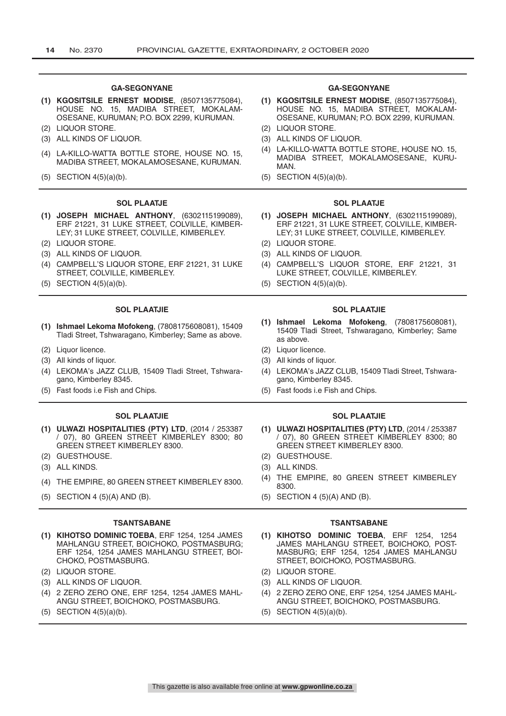- **(1) KGOSITSILE ERNEST MODISE**, (8507135775084), HOUSE NO. 15, MADIBA STREET, MOKALAM-OSESANE, KURUMAN; P.O. BOX 2299, KURUMAN.
- (2) LIQUOR STORE. (2) LIQUOR STORE.
- (3) ALL KINDS OF LIQUOR. (3) ALL KINDS OF LIQUOR.
- (4) LA-KILLO-WATTA BOTTLE STORE, HOUSE NO. 15, MADIBA STREET, MOKALAMOSESANE, KURUMAN.
- 

#### **SOL PLAATJE SOL PLAATJE**

- **(1) JOSEPH MICHAEL ANTHONY**, (6302115199089), ERF 21221, 31 LUKE STREET, COLVILLE, KIMBER-LEY; 31 LUKE STREET, COLVILLE, KIMBERLEY.
- 
- 
- (4) CAMPBELL'S LIQUOR STORE, ERF 21221, 31 LUKE STREET, COLVILLE, KIMBERLEY.
- 

#### **SOL PLAATJIE SOL PLAATJIE**

- **(1) Ishmael Lekoma Mofokeng**, (7808175608081), 15409 Tladi Street, Tshwaragano, Kimberley; Same as above.
- (2) Liquor licence. (2) Liquor licence.
- (3) All kinds of liquor. (3) All kinds of liquor.
- (4) LEKOMA's JAZZ CLUB, 15409 Tladi Street, Tshwaragano, Kimberley 8345.
- (5) Fast foods i.e Fish and Chips. (5) Fast foods i.e Fish and Chips.

- **(1) ULWAZI HOSPITALITIES (PTY) LTD**, (2014 / 253387 / 07), 80 GREEN STREET KIMBERLEY 8300; 80 GREEN STREET KIMBERLEY 8300.
- 
- 
- 
- (5) SECTION 4 (5)(A) AND (B). (5) SECTION 4 (5)(A) AND (B).

#### **TSANTSABANE TSANTSABANE**

- **(1) KIHOTSO DOMINIC TOEBA**, ERF 1254, 1254 JAMES MAHLANGU STREET, BOICHOKO, POSTMASBURG; ERF 1254, 1254 JAMES MAHLANGU STREET, BOI-CHOKO, POSTMASBURG.
- (2) LIQUOR STORE. (2) LIQUOR STORE.
- (3) ALL KINDS OF LIQUOR. (3) ALL KINDS OF LIQUOR.
- (4) 2 ZERO ZERO ONE, ERF 1254, 1254 JAMES MAHL-ANGU STREET, BOICHOKO, POSTMASBURG.
- 

#### **GA-SEGONYANE GA-SEGONYANE**

- **(1) KGOSITSILE ERNEST MODISE**, (8507135775084), HOUSE NO. 15, MADIBA STREET, MOKALAM-OSESANE, KURUMAN; P.O. BOX 2299, KURUMAN.
- 
- (4) LA-KILLO-WATTA BOTTLE STORE, HOUSE NO. 15, MADIBA STREET, MOKALAMOSESANE, KURU-**MAN**
- (5) SECTION  $4(5)(a)(b)$ . (5) SECTION  $4(5)(a)(b)$ .

- **(1) JOSEPH MICHAEL ANTHONY**, (6302115199089), ERF 21221, 31 LUKE STREET, COLVILLE, KIMBER-LEY; 31 LUKE STREET, COLVILLE, KIMBERLEY.
- (2) LIQUOR STORE. (2) LIQUOR STORE.
- (3) ALL KINDS OF LIQUOR. (3) ALL KINDS OF LIQUOR.
	- (4) CAMPBELL'S LIQUOR STORE, ERF 21221, 31 LUKE STREET, COLVILLE, KIMBERLEY.
- (5) SECTION  $4(5)(a)(b)$ . (5) SECTION  $4(5)(a)(b)$ .

- **(1) Ishmael Lekoma Mofokeng**, (7808175608081), 15409 Tladi Street, Tshwaragano, Kimberley; Same as above.
- 
- 
- (4) LEKOMA's JAZZ CLUB, 15409 Tladi Street, Tshwaragano, Kimberley 8345.
- 

#### **SOL PLAATJIE SOL PLAATJIE**

- **(1) ULWAZI HOSPITALITIES (PTY) LTD**, (2014 / 253387 / 07), 80 GREEN STREET KIMBERLEY 8300; 80 GREEN STREET KIMBERLEY 8300.
- (2) GUESTHOUSE. (2) GUESTHOUSE.
- (3) ALL KINDS. (3) ALL KINDS.
- (4) THE EMPIRE, 80 GREEN STREET KIMBERLEY 8300. (4) THE EMPIRE, 80 GREEN STREET KIMBERLEY 8300.
	-

- **(1) KIHOTSO DOMINIC TOEBA**, ERF 1254, 1254 JAMES MAHLANGU STREET, BOICHOKO, POST-MASBURG; ERF 1254, 1254 JAMES MAHLANGU STREET, BOICHOKO, POSTMASBURG.
- 
- 
- (4) 2 ZERO ZERO ONE, ERF 1254, 1254 JAMES MAHL-ANGU STREET, BOICHOKO, POSTMASBURG.
- (5) SECTION  $4(5)(a)(b)$ . (5) SECTION  $4(5)(a)(b)$ .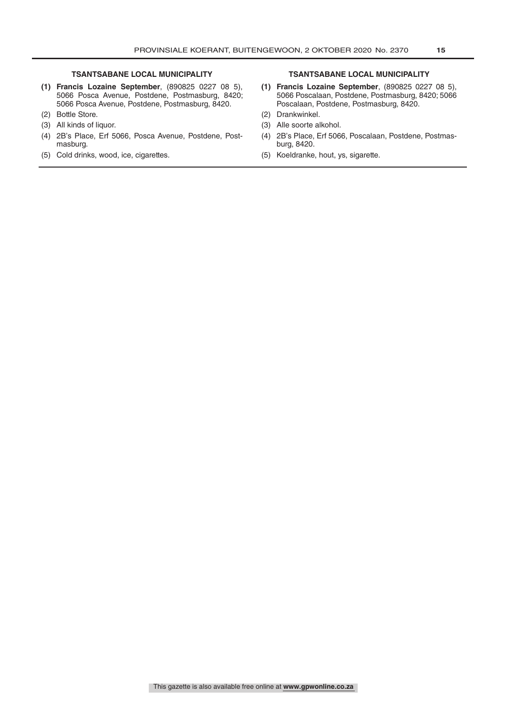- **(1) Francis Lozaine September**, (890825 0227 08 5), 5066 Posca Avenue, Postdene, Postmasburg, 8420; 5066 Posca Avenue, Postdene, Postmasburg, 8420.
- 
- 
- (4) 2B's Place, Erf 5066, Posca Avenue, Postdene, Postmasburg.
- (5) Cold drinks, wood, ice, cigarettes. (5) Koeldranke, hout, ys, sigarette.

#### **TSANTSABANE LOCAL MUNICIPALITY TSANTSABANE LOCAL MUNICIPALITY**

- **(1) Francis Lozaine September**, (890825 0227 08 5), 5066 Poscalaan, Postdene, Postmasburg, 8420; 5066 Poscalaan, Postdene, Postmasburg, 8420.
- (2) Bottle Store. (2) Drankwinkel.
- (3) All kinds of liquor. (3) Alle soorte alkohol.
	- (4) 2B's Place, Erf 5066, Poscalaan, Postdene, Postmasburg, 8420.
	-